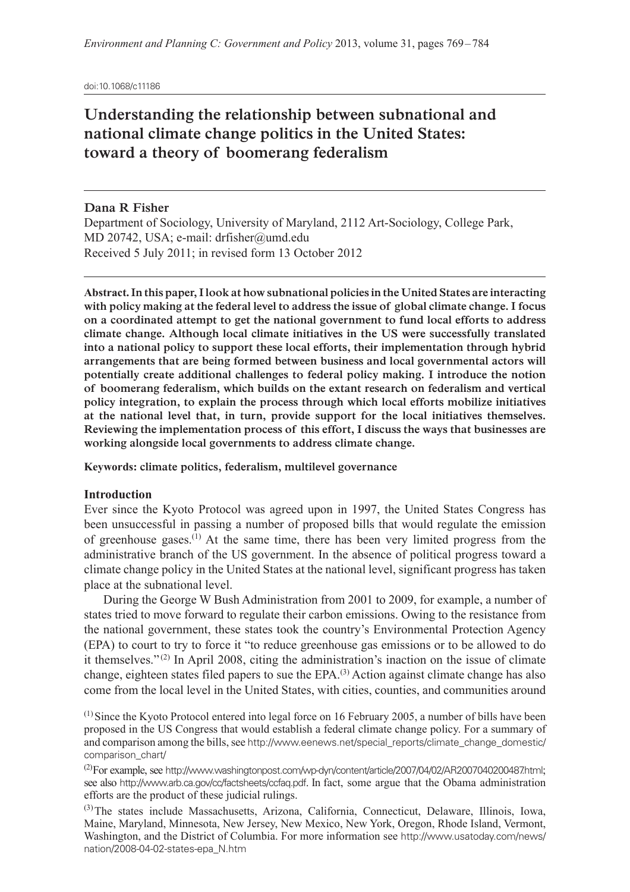doi:10.1068/c11186

# **Understanding the relationship between subnational and national climate change politics in the United States: toward a theory of boomerang federalism**

#### **Dana R Fisher**

Department of Sociology, University of Maryland, 2112 Art-Sociology, College Park, MD 20742, USA; e-mail: drfisher@umd.edu Received 5 July 2011; in revised form 13 October 2012

**Abstract. In this paper, I look at how subnational policies in the United States are interacting with policy making at the federal level to address the issue of global climate change. I focus on a coordinated attempt to get the national government to fund local efforts to address climate change. Although local climate initiatives in the US were successfully translated into a national policy to support these local efforts, their implementation through hybrid arrangements that are being formed between business and local governmental actors will potentially create additional challenges to federal policy making. I introduce the notion of boomerang federalism, which builds on the extant research on federalism and vertical policy integration, to explain the process through which local efforts mobilize initiatives at the national level that, in turn, provide support for the local initiatives themselves. Reviewing the implementation process of this effort, I discuss the ways that businesses are working alongside local governments to address climate change.**

**Keywords: climate politics, federalism, multilevel governance**

#### **Introduction**

Ever since the Kyoto Protocol was agreed upon in 1997, the United States Congress has been unsuccessful in passing a number of proposed bills that would regulate the emission of greenhouse gases.<sup>(1)</sup> At the same time, there has been very limited progress from the administrative branch of the US government. In the absence of political progress toward a climate change policy in the United States at the national level, significant progress has taken place at the subnational level.

During the George W Bush Administration from 2001 to 2009, for example, a number of states tried to move forward to regulate their carbon emissions. Owing to the resistance from the national government, these states took the country's Environmental Protection Agency (EPA) to court to try to force it "to reduce greenhouse gas emissions or to be allowed to do it themselves."<sup>(2)</sup> In April 2008, citing the administration's inaction on the issue of climate change, eighteen states filed papers to sue the  $EPA<sup>(3)</sup>$  Action against climate change has also come from the local level in the United States, with cities, counties, and communities around

 $<sup>(1)</sup>$  Since the Kyoto Protocol entered into legal force on 16 February 2005, a number of bills have been</sup> proposed in the US Congress that would establish a federal climate change policy. For a summary of and comparison among the bills, see http://www.eenews.net/special\_reports/climate\_change\_domestic/ comparison\_chart/

 $^{(2)}$ For example, see http://www.washingtonpost.com/wp-dyn/content/article/2007/04/02/AR2007040200487.html; see also http://www.arb.ca.gov/cc/factsheets/ccfaq.pdf. In fact, some argue that the Obama administration efforts are the product of these judicial rulings.

(3)The states include Massachusetts, Arizona, California, Connecticut, Delaware, Illinois, Iowa, Maine, Maryland, Minnesota, New Jersey, New Mexico, New York, Oregon, Rhode Island, Vermont, Washington, and the District of Columbia. For more information see *http://www.usatoday.com/news/* nation/2008-04-02-states-epa\_N.htm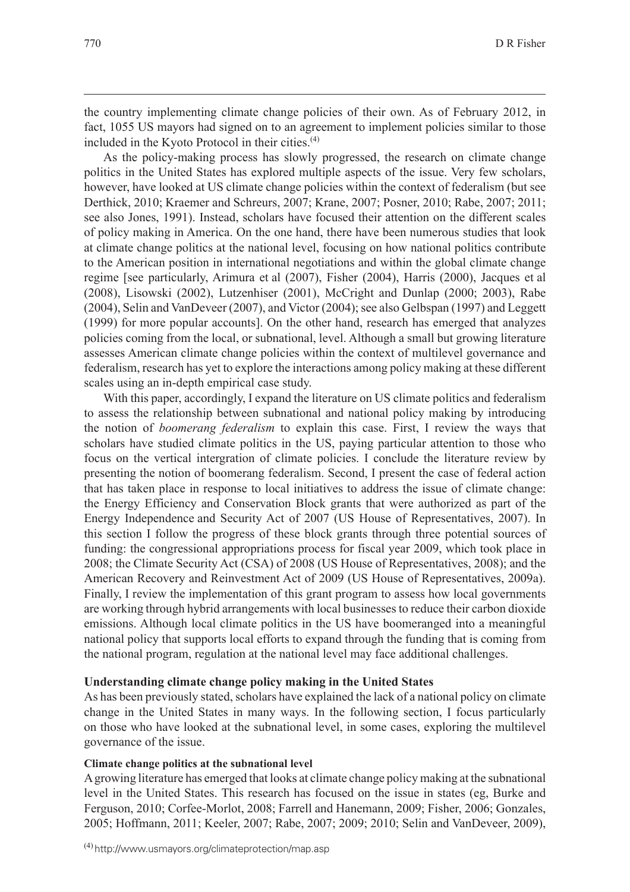the country implementing climate change policies of their own. As of February 2012, in fact, 1055 US mayors had signed on to an agreement to implement policies similar to those included in the Kyoto Protocol in their cities.(4)

As the policy-making process has slowly progressed, the research on climate change politics in the United States has explored multiple aspects of the issue. Very few scholars, however, have looked at US climate change policies within the context of federalism (but see Derthick, 2010; Kraemer and Schreurs, 2007; Krane, 2007; Posner, 2010; Rabe, 2007; 2011; see also Jones, 1991). Instead, scholars have focused their attention on the different scales of policy making in America. On the one hand, there have been numerous studies that look at climate change politics at the national level, focusing on how national politics contribute to the American position in international negotiations and within the global climate change regime [see particularly, Arimura et al (2007), Fisher (2004), Harris (2000), Jacques et al (2008), Lisowski (2002), Lutzenhiser (2001), McCright and Dunlap (2000; 2003), Rabe (2004), Selin and VanDeveer (2007), and Victor (2004); see also Gelbspan (1997) and Leggett (1999) for more popular accounts]. On the other hand, research has emerged that analyzes policies coming from the local, or subnational, level. Although a small but growing literature assesses American climate change policies within the context of multilevel governance and federalism, research has yet to explore the interactions among policy making at these different scales using an in-depth empirical case study.

With this paper, accordingly, I expand the literature on US climate politics and federalism to assess the relationship between subnational and national policy making by introducing the notion of *boomerang federalism* to explain this case. First, I review the ways that scholars have studied climate politics in the US, paying particular attention to those who focus on the vertical intergration of climate policies. I conclude the literature review by presenting the notion of boomerang federalism. Second, I present the case of federal action that has taken place in response to local initiatives to address the issue of climate change: the Energy Efficiency and Conservation Block grants that were authorized as part of the Energy Independence and Security Act of 2007 (US House of Representatives, 2007). In this section I follow the progress of these block grants through three potential sources of funding: the congressional appropriations process for fiscal year 2009, which took place in 2008; the Climate Security Act (CSA) of 2008 (US House of Representatives, 2008); and the American Recovery and Reinvestment Act of 2009 (US House of Representatives, 2009a). Finally, I review the implementation of this grant program to assess how local governments are working through hybrid arrangements with local businesses to reduce their carbon dioxide emissions. Although local climate politics in the US have boomeranged into a meaningful national policy that supports local efforts to expand through the funding that is coming from the national program, regulation at the national level may face additional challenges.

#### **Understanding climate change policy making in the United States**

As has been previously stated, scholars have explained the lack of a national policy on climate change in the United States in many ways. In the following section, I focus particularly on those who have looked at the subnational level, in some cases, exploring the multilevel governance of the issue.

#### **Climate change politics at the subnational level**

A growing literature has emerged that looks at climate change policy making at the subnational level in the United States. This research has focused on the issue in states (eg, Burke and Ferguson, 2010; Corfee-Morlot, 2008; Farrell and Hanemann, 2009; Fisher, 2006; Gonzales, 2005; Hoffmann, 2011; Keeler, 2007; Rabe, 2007; 2009; 2010; Selin and VanDeveer, 2009),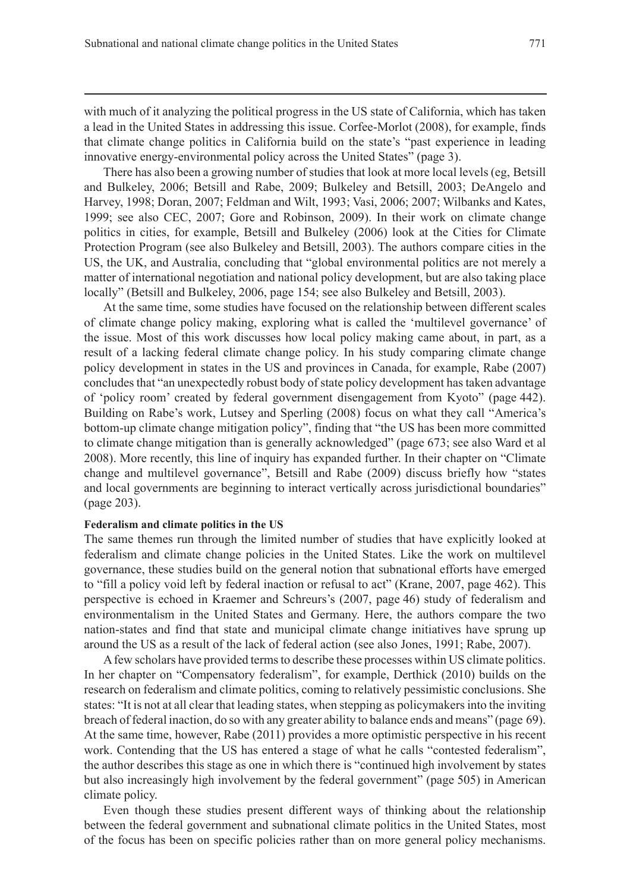with much of it analyzing the political progress in the US state of California, which has taken a lead in the United States in addressing this issue. Corfee-Morlot (2008), for example, finds that climate change politics in California build on the state's "past experience in leading innovative energy-environmental policy across the United States" (page 3).

There has also been a growing number of studies that look at more local levels (eg, Betsill and Bulkeley, 2006; Betsill and Rabe, 2009; Bulkeley and Betsill, 2003; DeAngelo and Harvey, 1998; Doran, 2007; Feldman and Wilt, 1993; Vasi, 2006; 2007; Wilbanks and Kates, 1999; see also CEC, 2007; Gore and Robinson, 2009). In their work on climate change politics in cities, for example, Betsill and Bulkeley (2006) look at the Cities for Climate Protection Program (see also Bulkeley and Betsill, 2003). The authors compare cities in the US, the UK, and Australia, concluding that "global environmental politics are not merely a matter of international negotiation and national policy development, but are also taking place locally" (Betsill and Bulkeley, 2006, page 154; see also Bulkeley and Betsill, 2003).

At the same time, some studies have focused on the relationship between different scales of climate change policy making, exploring what is called the 'multilevel governance' of the issue. Most of this work discusses how local policy making came about, in part, as a result of a lacking federal climate change policy. In his study comparing climate change policy development in states in the US and provinces in Canada, for example, Rabe (2007) concludes that "an unexpectedly robust body of state policy development has taken advantage of 'policy room' created by federal government disengagement from Kyoto" (page 442). Building on Rabe's work, Lutsey and Sperling (2008) focus on what they call "America's bottom-up climate change mitigation policy", finding that "the US has been more committed to climate change mitigation than is generally acknowledged" (page 673; see also Ward et al 2008). More recently, this line of inquiry has expanded further. In their chapter on "Climate change and multilevel governance", Betsill and Rabe (2009) discuss briefly how "states and local governments are beginning to interact vertically across jurisdictional boundaries" (page 203).

#### **Federalism and climate politics in the US**

The same themes run through the limited number of studies that have explicitly looked at federalism and climate change policies in the United States. Like the work on multilevel governance, these studies build on the general notion that subnational efforts have emerged to "fill a policy void left by federal inaction or refusal to act" (Krane, 2007, page 462). This perspective is echoed in Kraemer and Schreurs's (2007, page 46) study of federalism and environmentalism in the United States and Germany. Here, the authors compare the two nation-states and find that state and municipal climate change initiatives have sprung up around the US as a result of the lack of federal action (see also Jones, 1991; Rabe, 2007).

A few scholars have provided terms to describe these processes within US climate politics. In her chapter on "Compensatory federalism", for example, Derthick (2010) builds on the research on federalism and climate politics, coming to relatively pessimistic conclusions. She states: "It is not at all clear that leading states, when stepping as policymakers into the inviting breach of federal inaction, do so with any greater ability to balance ends and means" (page 69). At the same time, however, Rabe (2011) provides a more optimistic perspective in his recent work. Contending that the US has entered a stage of what he calls "contested federalism", the author describes this stage as one in which there is "continued high involvement by states but also increasingly high involvement by the federal government" (page 505) in American climate policy.

Even though these studies present different ways of thinking about the relationship between the federal government and subnational climate politics in the United States, most of the focus has been on specific policies rather than on more general policy mechanisms.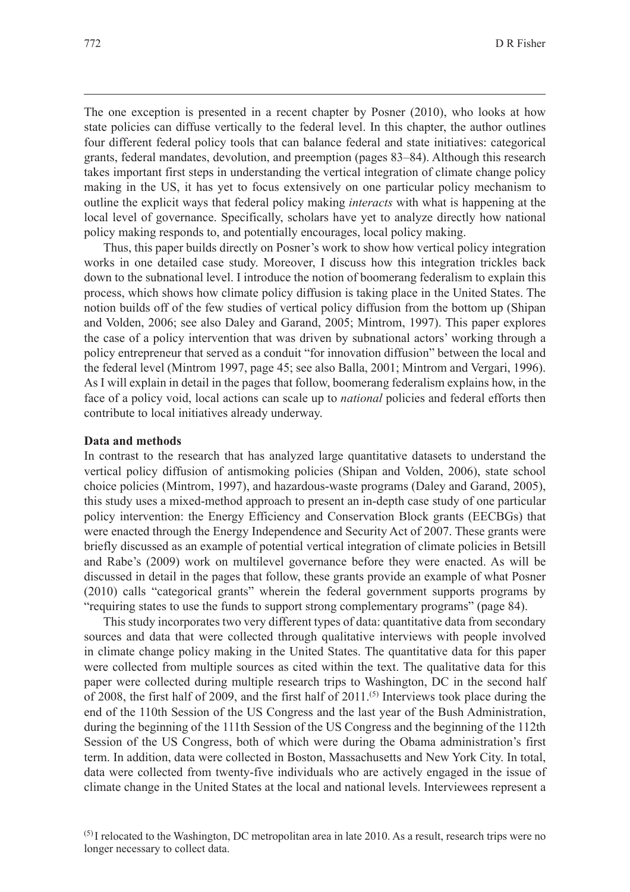The one exception is presented in a recent chapter by Posner (2010), who looks at how state policies can diffuse vertically to the federal level. In this chapter, the author outlines four different federal policy tools that can balance federal and state initiatives: categorical grants, federal mandates, devolution, and preemption (pages 83–84). Although this research takes important first steps in understanding the vertical integration of climate change policy making in the US, it has yet to focus extensively on one particular policy mechanism to outline the explicit ways that federal policy making *interacts* with what is happening at the local level of governance. Specifically, scholars have yet to analyze directly how national policy making responds to, and potentially encourages, local policy making.

Thus, this paper builds directly on Posner's work to show how vertical policy integration works in one detailed case study. Moreover, I discuss how this integration trickles back down to the subnational level. I introduce the notion of boomerang federalism to explain this process, which shows how climate policy diffusion is taking place in the United States. The notion builds off of the few studies of vertical policy diffusion from the bottom up (Shipan and Volden, 2006; see also Daley and Garand, 2005; Mintrom, 1997). This paper explores the case of a policy intervention that was driven by subnational actors' working through a policy entrepreneur that served as a conduit "for innovation diffusion" between the local and the federal level (Mintrom 1997, page 45; see also Balla, 2001; Mintrom and Vergari, 1996). As I will explain in detail in the pages that follow, boomerang federalism explains how, in the face of a policy void, local actions can scale up to *national* policies and federal efforts then contribute to local initiatives already underway.

## **Data and methods**

In contrast to the research that has analyzed large quantitative datasets to understand the vertical policy diffusion of antismoking policies (Shipan and Volden, 2006), state school choice policies (Mintrom, 1997), and hazardous-waste programs (Daley and Garand, 2005), this study uses a mixed-method approach to present an in-depth case study of one particular policy intervention: the Energy Efficiency and Conservation Block grants (EECBGs) that were enacted through the Energy Independence and Security Act of 2007. These grants were briefly discussed as an example of potential vertical integration of climate policies in Betsill and Rabe's (2009) work on multilevel governance before they were enacted. As will be discussed in detail in the pages that follow, these grants provide an example of what Posner (2010) calls "categorical grants" wherein the federal government supports programs by "requiring states to use the funds to support strong complementary programs" (page 84).

This study incorporates two very different types of data: quantitative data from secondary sources and data that were collected through qualitative interviews with people involved in climate change policy making in the United States. The quantitative data for this paper were collected from multiple sources as cited within the text. The qualitative data for this paper were collected during multiple research trips to Washington, DC in the second half of 2008, the first half of 2009, and the first half of  $2011$ .<sup>(5)</sup> Interviews took place during the end of the 110th Session of the US Congress and the last year of the Bush Administration, during the beginning of the 111th Session of the US Congress and the beginning of the 112th Session of the US Congress, both of which were during the Obama administration's first term. In addition, data were collected in Boston, Massachusetts and New York City. In total, data were collected from twenty-five individuals who are actively engaged in the issue of climate change in the United States at the local and national levels. Interviewees represent a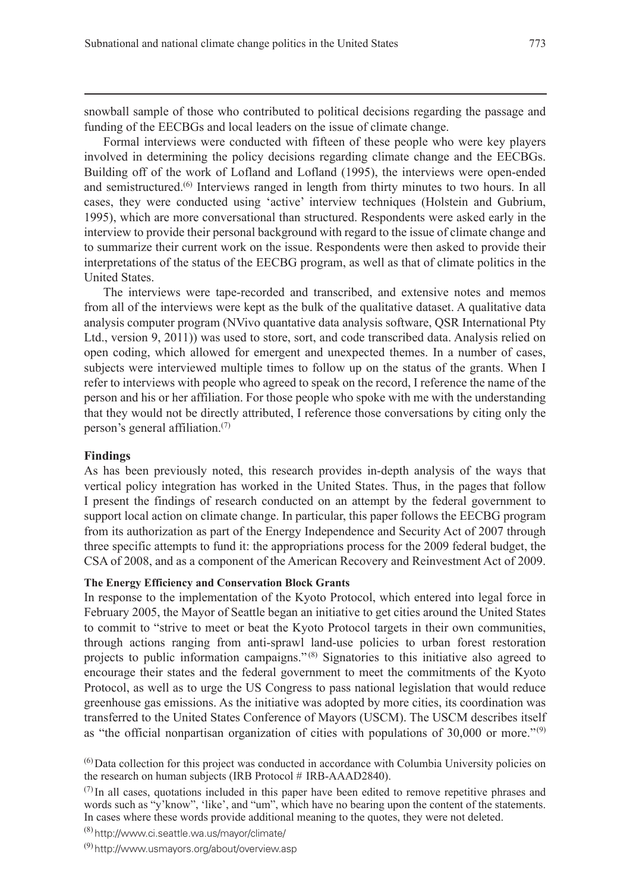snowball sample of those who contributed to political decisions regarding the passage and funding of the EECBGs and local leaders on the issue of climate change.

Formal interviews were conducted with fifteen of these people who were key players involved in determining the policy decisions regarding climate change and the EECBGs. Building off of the work of Lofland and Lofland (1995), the interviews were open-ended and semistructured.(6) Interviews ranged in length from thirty minutes to two hours. In all cases, they were conducted using 'active' interview techniques (Holstein and Gubrium, 1995), which are more conversational than structured. Respondents were asked early in the interview to provide their personal background with regard to the issue of climate change and to summarize their current work on the issue. Respondents were then asked to provide their interpretations of the status of the EECBG program, as well as that of climate politics in the United States.

The interviews were tape-recorded and transcribed, and extensive notes and memos from all of the interviews were kept as the bulk of the qualitative dataset. A qualitative data analysis computer program (NVivo quantative data analysis software, QSR International Pty Ltd., version 9, 2011)) was used to store, sort, and code transcribed data. Analysis relied on open coding, which allowed for emergent and unexpected themes. In a number of cases, subjects were interviewed multiple times to follow up on the status of the grants. When I refer to interviews with people who agreed to speak on the record, I reference the name of the person and his or her affiliation. For those people who spoke with me with the understanding that they would not be directly attributed, I reference those conversations by citing only the person's general affiliation.(7)

### **Findings**

As has been previously noted, this research provides in-depth analysis of the ways that vertical policy integration has worked in the United States. Thus, in the pages that follow I present the findings of research conducted on an attempt by the federal government to support local action on climate change. In particular, this paper follows the EECBG program from its authorization as part of the Energy Independence and Security Act of 2007 through three specific attempts to fund it: the appropriations process for the 2009 federal budget, the CSA of 2008, and as a component of the American Recovery and Reinvestment Act of 2009.

## **The Energy Efficiency and Conservation Block Grants**

In response to the implementation of the Kyoto Protocol, which entered into legal force in February 2005, the Mayor of Seattle began an initiative to get cities around the United States to commit to "strive to meet or beat the Kyoto Protocol targets in their own communities, through actions ranging from anti-sprawl land-use policies to urban forest restoration projects to public information campaigns."<sup>(8)</sup> Signatories to this initiative also agreed to encourage their states and the federal government to meet the commitments of the Kyoto Protocol, as well as to urge the US Congress to pass national legislation that would reduce greenhouse gas emissions. As the initiative was adopted by more cities, its coordination was transferred to the United States Conference of Mayors (USCM). The USCM describes itself as "the official nonpartisan organization of cities with populations of  $30,000$  or more."<sup>(9)</sup>

(8)http://www.ci.seattle.wa.us/mayor/climate/*<sup>H</sup>*

(9) *H*http://www.usmayors.org/about/overview.asp

 $<sup>(6)</sup>$  Data collection for this project was conducted in accordance with Columbia University policies on</sup> the research on human subjects (IRB Protocol # IRB-AAAD2840).

 $(7)$  In all cases, quotations included in this paper have been edited to remove repetitive phrases and words such as "y'know", 'like', and "um", which have no bearing upon the content of the statements. In cases where these words provide additional meaning to the quotes, they were not deleted.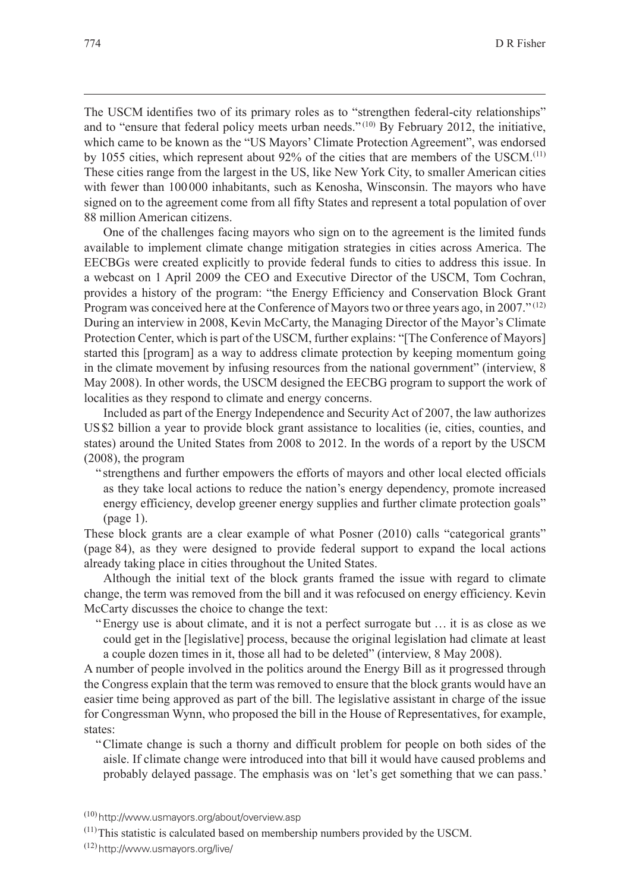The USCM identifies two of its primary roles as to "strengthen federal-city relationships" and to "ensure that federal policy meets urban needs."<sup>(10)</sup> By February 2012, the initiative, which came to be known as the "US Mayors' Climate Protection Agreement", was endorsed by 1055 cities, which represent about 92% of the cities that are members of the USCM.(11) These cities range from the largest in the US, like New York City, to smaller American cities with fewer than 100 000 inhabitants, such as Kenosha, Winsconsin. The mayors who have signed on to the agreement come from all fifty States and represent a total population of over 88 million American citizens.

One of the challenges facing mayors who sign on to the agreement is the limited funds available to implement climate change mitigation strategies in cities across America. The EECBGs were created explicitly to provide federal funds to cities to address this issue. In a webcast on 1 April 2009 the CEO and Executive Director of the USCM, Tom Cochran, provides a history of the program: "the Energy Efficiency and Conservation Block Grant Program was conceived here at the Conference of Mayors two or three years ago, in 2007."<sup>(12)</sup> During an interview in 2008, Kevin McCarty, the Managing Director of the Mayor's Climate Protection Center, which is part of the USCM, further explains: "[The Conference of Mayors] started this [program] as a way to address climate protection by keeping momentum going in the climate movement by infusing resources from the national government" (interview, 8 May 2008). In other words, the USCM designed the EECBG program to support the work of localities as they respond to climate and energy concerns.

Included as part of the Energy Independence and Security Act of 2007, the law authorizes US\$2 billion a year to provide block grant assistance to localities (ie, cities, counties, and states) around the United States from 2008 to 2012. In the words of a report by the USCM (2008), the program

" strengthens and further empowers the efforts of mayors and other local elected officials as they take local actions to reduce the nation's energy dependency, promote increased energy efficiency, develop greener energy supplies and further climate protection goals" (page 1).

These block grants are a clear example of what Posner (2010) calls "categorical grants" (page 84), as they were designed to provide federal support to expand the local actions already taking place in cities throughout the United States.

Although the initial text of the block grants framed the issue with regard to climate change, the term was removed from the bill and it was refocused on energy efficiency. Kevin McCarty discusses the choice to change the text:

"Energy use is about climate, and it is not a perfect surrogate but … it is as close as we could get in the [legislative] process, because the original legislation had climate at least a couple dozen times in it, those all had to be deleted" (interview, 8 May 2008).

A number of people involved in the politics around the Energy Bill as it progressed through the Congress explain that the term was removed to ensure that the block grants would have an easier time being approved as part of the bill. The legislative assistant in charge of the issue for Congressman Wynn, who proposed the bill in the House of Representatives, for example, states:

"Climate change is such a thorny and difficult problem for people on both sides of the aisle. If climate change were introduced into that bill it would have caused problems and probably delayed passage. The emphasis was on 'let's get something that we can pass.'

<sup>(10)</sup>http://www.usmayors.org/about/overview.asp

 $<sup>(11)</sup>$ This statistic is calculated based on membership numbers provided by the USCM.</sup>

 $(12)$  http://www.usmayors.org/live/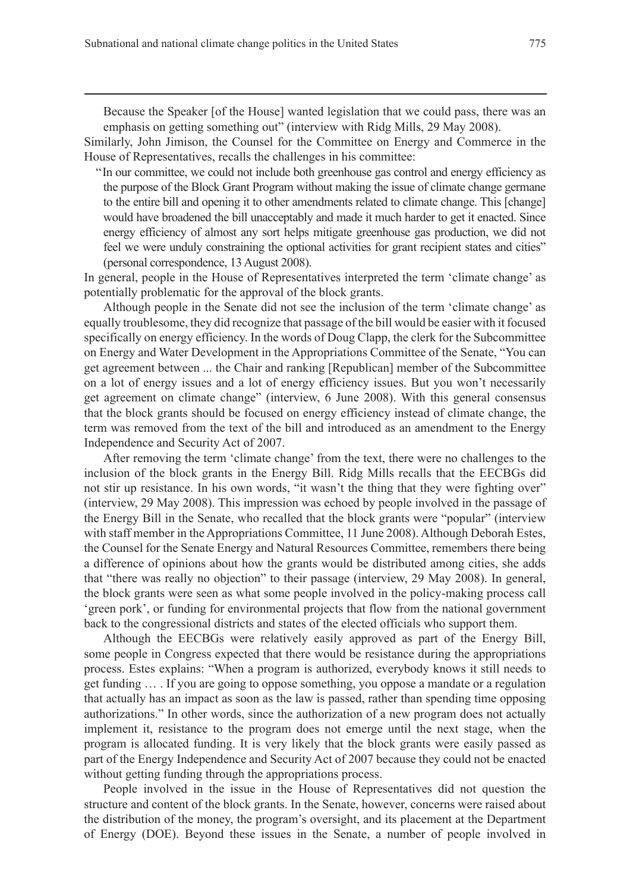Because the Speaker [of the House] wanted legislation that we could pass, there was an emphasis on getting something out" (interview with Ridg Mills, 29 May 2008).

Similarly, John Jimison, the Counsel for the Committee on Energy and Commerce in the House of Representatives, recalls the challenges in his committee:

"In our committee, we could not include both greenhouse gas control and energy efficiency as the purpose of the Block Grant Program without making the issue of climate change germane to the entire bill and opening it to other amendments related to climate change. This [change] would have broadened the bill unacceptably and made it much harder to get it enacted. Since energy efficiency of almost any sort helps mitigate greenhouse gas production, we did not feel we were unduly constraining the optional activities for grant recipient states and cities" (personal correspondence, 13 August 2008).

In general, people in the House of Representatives interpreted the term 'climate change' as potentially problematic for the approval of the block grants.

Although people in the Senate did not see the inclusion of the term 'climate change' as equally troublesome, they did recognize that passage of the bill would be easier with it focused specifically on energy efficiency. In the words of Doug Clapp, the clerk for the Subcommittee on Energy and Water Development in the Appropriations Committee of the Senate, "You can get agreement between ... the Chair and ranking [Republican] member of the Subcommittee on a lot of energy issues and a lot of energy efficiency issues. But you won't necessarily get agreement on climate change" (interview, 6 June 2008). With this general consensus that the block grants should be focused on energy efficiency instead of climate change, the term was removed from the text of the bill and introduced as an amendment to the Energy Independence and Security Act of 2007.

After removing the term 'climate change' from the text, there were no challenges to the inclusion of the block grants in the Energy Bill. Ridg Mills recalls that the EECBGs did not stir up resistance. In his own words, "it wasn't the thing that they were fighting over" (interview, 29 May 2008). This impression was echoed by people involved in the passage of the Energy Bill in the Senate, who recalled that the block grants were "popular" (interview with staff member in the Appropriations Committee, 11 June 2008). Although Deborah Estes, the Counsel for the Senate Energy and Natural Resources Committee, remembers there being a difference of opinions about how the grants would be distributed among cities, she adds that "there was really no objection" to their passage (interview, 29 May 2008). In general, the block grants were seen as what some people involved in the policy-making process call 'green pork', or funding for environmental projects that flow from the national government back to the congressional districts and states of the elected officials who support them.

Although the EECBGs were relatively easily approved as part of the Energy Bill, some people in Congress expected that there would be resistance during the appropriations process. Estes explains: "When a program is authorized, everybody knows it still needs to get funding … . If you are going to oppose something, you oppose a mandate or a regulation that actually has an impact as soon as the law is passed, rather than spending time opposing authorizations." In other words, since the authorization of a new program does not actually implement it, resistance to the program does not emerge until the next stage, when the program is allocated funding. It is very likely that the block grants were easily passed as part of the Energy Independence and Security Act of 2007 because they could not be enacted without getting funding through the appropriations process.

People involved in the issue in the House of Representatives did not question the structure and content of the block grants. In the Senate, however, concerns were raised about the distribution of the money, the program's oversight, and its placement at the Department of Energy (DOE). Beyond these issues in the Senate, a number of people involved in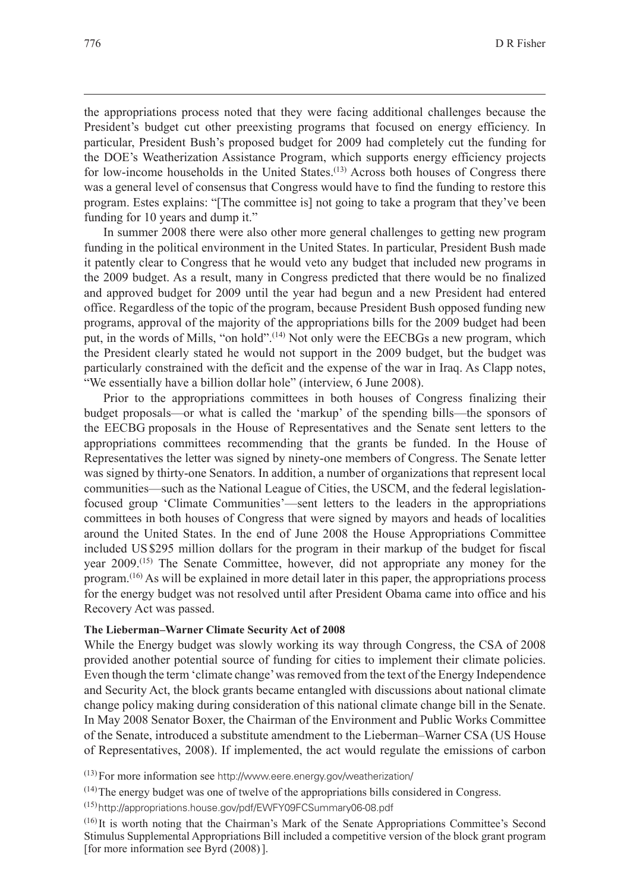the appropriations process noted that they were facing additional challenges because the President's budget cut other preexisting programs that focused on energy efficiency. In particular, President Bush's proposed budget for 2009 had completely cut the funding for the DOE's Weatherization Assistance Program, which supports energy efficiency projects for low-income households in the United States. $(13)$  Across both houses of Congress there was a general level of consensus that Congress would have to find the funding to restore this program. Estes explains: "[The committee is] not going to take a program that they've been funding for 10 years and dump it."

In summer 2008 there were also other more general challenges to getting new program funding in the political environment in the United States. In particular, President Bush made it patently clear to Congress that he would veto any budget that included new programs in the 2009 budget. As a result, many in Congress predicted that there would be no finalized and approved budget for 2009 until the year had begun and a new President had entered office. Regardless of the topic of the program, because President Bush opposed funding new programs, approval of the majority of the appropriations bills for the 2009 budget had been put, in the words of Mills, "on hold".<sup>(14)</sup> Not only were the EECBGs a new program, which the President clearly stated he would not support in the 2009 budget, but the budget was particularly constrained with the deficit and the expense of the war in Iraq. As Clapp notes, "We essentially have a billion dollar hole" (interview, 6 June 2008).

Prior to the appropriations committees in both houses of Congress finalizing their budget proposals—or what is called the 'markup' of the spending bills—the sponsors of the EECBG proposals in the House of Representatives and the Senate sent letters to the appropriations committees recommending that the grants be funded. In the House of Representatives the letter was signed by ninety-one members of Congress. The Senate letter was signed by thirty-one Senators. In addition, a number of organizations that represent local communities—such as the National League of Cities, the USCM, and the federal legislationfocused group 'Climate Communities'—sent letters to the leaders in the appropriations committees in both houses of Congress that were signed by mayors and heads of localities around the United States. In the end of June 2008 the House Appropriations Committee included US\$295 million dollars for the program in their markup of the budget for fiscal year 2009.(15) The Senate Committee, however, did not appropriate any money for the program.(16) As will be explained in more detail later in this paper, the appropriations process for the energy budget was not resolved until after President Obama came into office and his Recovery Act was passed.

#### **The Lieberman–Warner Climate Security Act of 2008**

While the Energy budget was slowly working its way through Congress, the CSA of 2008 provided another potential source of funding for cities to implement their climate policies. Even though the term 'climate change' was removed from the text of the Energy Independence and Security Act, the block grants became entangled with discussions about national climate change policy making during consideration of this national climate change bill in the Senate. In May 2008 Senator Boxer, the Chairman of the Environment and Public Works Committee of the Senate, introduced a substitute amendment to the Lieberman–Warner CSA (US House of Representatives, 2008). If implemented, the act would regulate the emissions of carbon

(13) For more information see http://www.eere.energy.gov/weatherization/

(14)The energy budget was one of twelve of the appropriations bills considered in Congress.

(15)http://appropriations.house.gov/pdf/EWFY09FCSummary06-08.pdf

(16) It is worth noting that the Chairman's Mark of the Senate Appropriations Committee's Second Stimulus Supplemental Appropriations Bill included a competitive version of the block grant program [for more information see Byrd (2008)].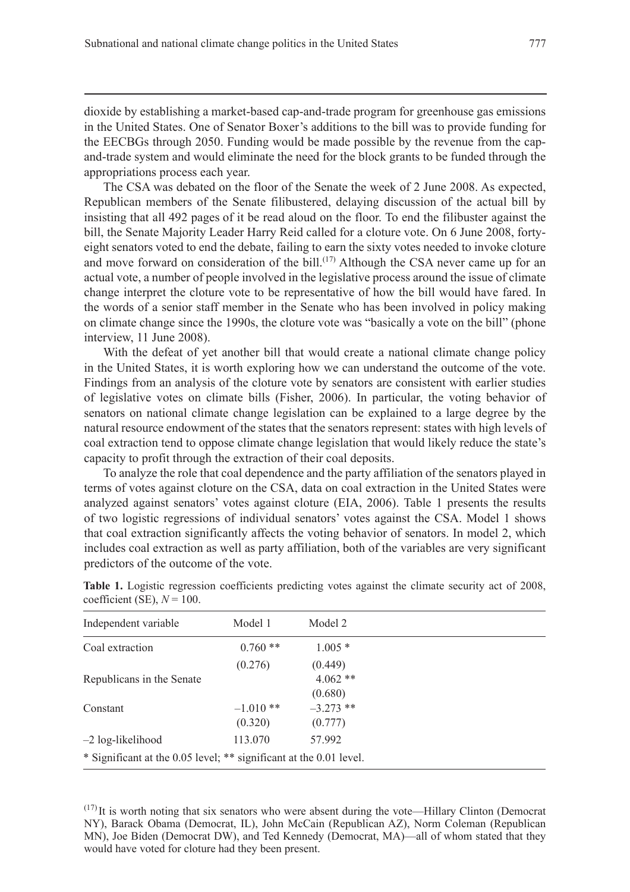dioxide by establishing a market-based cap-and-trade program for greenhouse gas emissions in the United States. One of Senator Boxer's additions to the bill was to provide funding for the EECBGs through 2050. Funding would be made possible by the revenue from the capand-trade system and would eliminate the need for the block grants to be funded through the appropriations process each year.

The CSA was debated on the floor of the Senate the week of 2 June 2008. As expected, Republican members of the Senate filibustered, delaying discussion of the actual bill by insisting that all 492 pages of it be read aloud on the floor. To end the filibuster against the bill, the Senate Majority Leader Harry Reid called for a cloture vote. On 6 June 2008, fortyeight senators voted to end the debate, failing to earn the sixty votes needed to invoke cloture and move forward on consideration of the bill.<sup> $(17)$ </sup> Although the CSA never came up for an actual vote, a number of people involved in the legislative process around the issue of climate change interpret the cloture vote to be representative of how the bill would have fared. In the words of a senior staff member in the Senate who has been involved in policy making on climate change since the 1990s, the cloture vote was "basically a vote on the bill" (phone interview, 11 June 2008).

With the defeat of yet another bill that would create a national climate change policy in the United States, it is worth exploring how we can understand the outcome of the vote. Findings from an analysis of the cloture vote by senators are consistent with earlier studies of legislative votes on climate bills (Fisher, 2006). In particular, the voting behavior of senators on national climate change legislation can be explained to a large degree by the natural resource endowment of the states that the senators represent: states with high levels of coal extraction tend to oppose climate change legislation that would likely reduce the state's capacity to profit through the extraction of their coal deposits.

To analyze the role that coal dependence and the party affiliation of the senators played in terms of votes against cloture on the CSA, data on coal extraction in the United States were analyzed against senators' votes against cloture (EIA, 2006). Table 1 presents the results of two logistic regressions of individual senators' votes against the CSA. Model 1 shows that coal extraction significantly affects the voting behavior of senators. In model 2, which includes coal extraction as well as party affiliation, both of the variables are very significant predictors of the outcome of the vote.

| Independent variable                                               | Model 1    | Model 2     |  |
|--------------------------------------------------------------------|------------|-------------|--|
| Coal extraction                                                    | $0.760**$  | $1.005*$    |  |
|                                                                    | (0.276)    | (0.449)     |  |
| Republicans in the Senate                                          |            | $4.062**$   |  |
|                                                                    |            | (0.680)     |  |
| Constant                                                           | $-1.010**$ | $-3.273$ ** |  |
|                                                                    | (0.320)    | (0.777)     |  |
| -2 log-likelihood                                                  | 113.070    | 57.992      |  |
| * Significant at the 0.05 level; ** significant at the 0.01 level. |            |             |  |

**Table 1.** Logistic regression coefficients predicting votes against the climate security act of 2008, coefficient (SE), *N* = 100.

 $(17)$  It is worth noting that six senators who were absent during the vote—Hillary Clinton (Democrat NY), Barack Obama (Democrat, IL), John McCain (Republican AZ), Norm Coleman (Republican MN), Joe Biden (Democrat DW), and Ted Kennedy (Democrat, MA)—all of whom stated that they would have voted for cloture had they been present.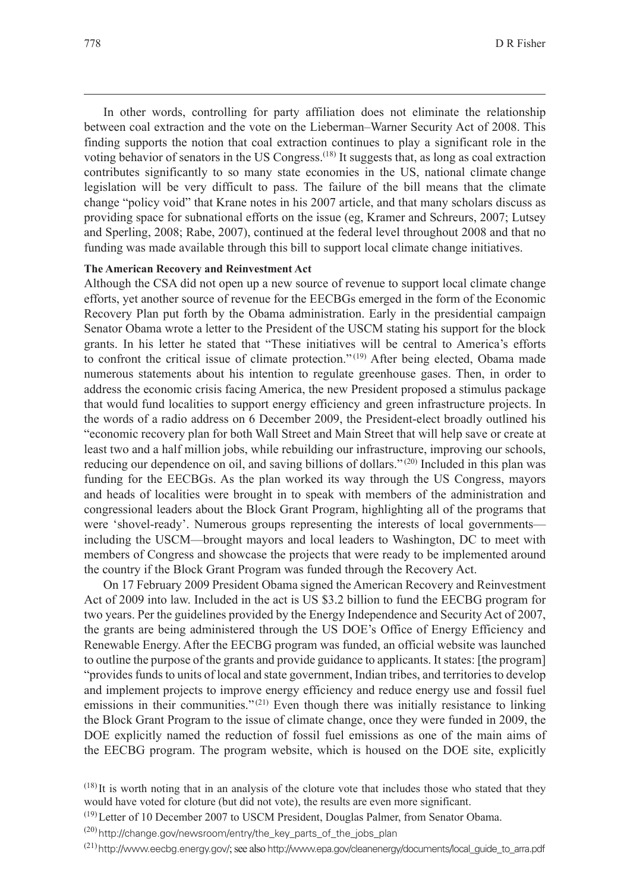In other words, controlling for party affiliation does not eliminate the relationship between coal extraction and the vote on the Lieberman–Warner Security Act of 2008. This finding supports the notion that coal extraction continues to play a significant role in the voting behavior of senators in the US Congress.<sup>(18)</sup> It suggests that, as long as coal extraction contributes significantly to so many state economies in the US, national climate change legislation will be very difficult to pass. The failure of the bill means that the climate change "policy void" that Krane notes in his 2007 article, and that many scholars discuss as providing space for subnational efforts on the issue (eg, Kramer and Schreurs, 2007; Lutsey and Sperling, 2008; Rabe, 2007), continued at the federal level throughout 2008 and that no funding was made available through this bill to support local climate change initiatives.

## **The American Recovery and Reinvestment Act**

Although the CSA did not open up a new source of revenue to support local climate change efforts, yet another source of revenue for the EECBGs emerged in the form of the Economic Recovery Plan put forth by the Obama administration. Early in the presidential campaign Senator Obama wrote a letter to the President of the USCM stating his support for the block grants. In his letter he stated that "These initiatives will be central to America's efforts to confront the critical issue of climate protection." (19) After being elected, Obama made numerous statements about his intention to regulate greenhouse gases. Then, in order to address the economic crisis facing America, the new President proposed a stimulus package that would fund localities to support energy efficiency and green infrastructure projects. In the words of a radio address on 6 December 2009, the President-elect broadly outlined his "economic recovery plan for both Wall Street and Main Street that will help save or create at least two and a half million jobs, while rebuilding our infrastructure, improving our schools, reducing our dependence on oil, and saving billions of dollars."<sup>(20)</sup> Included in this plan was funding for the EECBGs. As the plan worked its way through the US Congress, mayors and heads of localities were brought in to speak with members of the administration and congressional leaders about the Block Grant Program, highlighting all of the programs that were 'shovel-ready'. Numerous groups representing the interests of local governments including the USCM—brought mayors and local leaders to Washington, DC to meet with members of Congress and showcase the projects that were ready to be implemented around the country if the Block Grant Program was funded through the Recovery Act.

On 17 February 2009 President Obama signed the American Recovery and Reinvestment Act of 2009 into law. Included in the act is US \$3.2 billion to fund the EECBG program for two years. Per the guidelines provided by the Energy Independence and Security Act of 2007, the grants are being administered through the US DOE's Office of Energy Efficiency and Renewable Energy. After the EECBG program was funded, an official website was launched to outline the purpose of the grants and provide guidance to applicants. It states: [the program] "provides funds to units of local and state government, Indian tribes, and territories to develop and implement projects to improve energy efficiency and reduce energy use and fossil fuel emissions in their communities." $(21)$  Even though there was initially resistance to linking the Block Grant Program to the issue of climate change, once they were funded in 2009, the DOE explicitly named the reduction of fossil fuel emissions as one of the main aims of the EECBG program. The program website, which is housed on the DOE site, explicitly

(20) http://change.gov/newsroom/entry/the\_key\_parts\_of\_the\_jobs\_plan

 $^{(21)}$ http://www.eecbg.energy.gov/; see also http://www.epa.gov/cleanenergy/documents/local\_guide\_to\_arra.pdf

 $(18)$  It is worth noting that in an analysis of the cloture vote that includes those who stated that they would have voted for cloture (but did not vote), the results are even more significant.

<sup>(19)</sup>Letter of 10 December 2007 to USCM President, Douglas Palmer, from Senator Obama.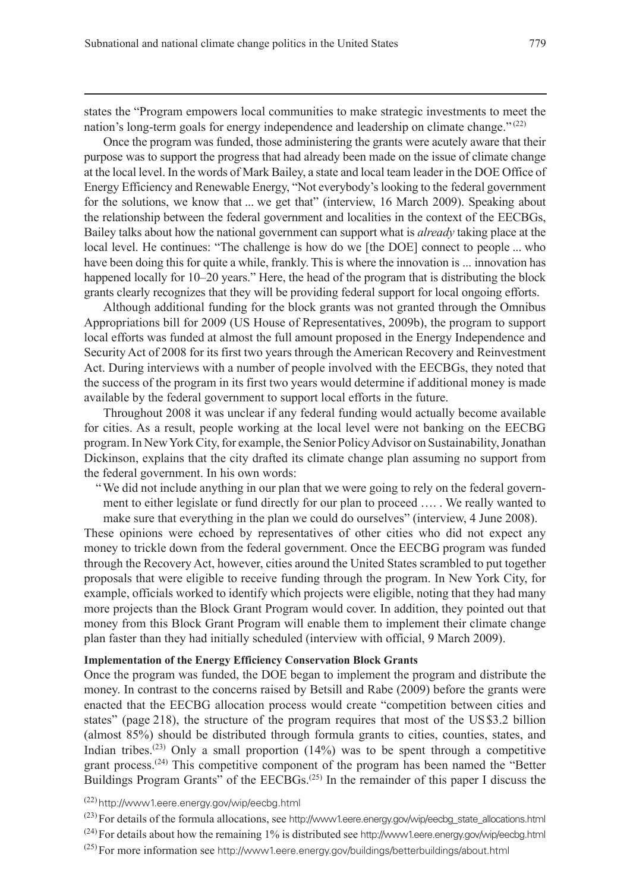states the "Program empowers local communities to make strategic investments to meet the nation's long-term goals for energy independence and leadership on climate change." $(22)$ 

Once the program was funded, those administering the grants were acutely aware that their purpose was to support the progress that had already been made on the issue of climate change at the local level. In the words of Mark Bailey, a state and local team leader in the DOE Office of Energy Efficiency and Renewable Energy, "Not everybody's looking to the federal government for the solutions, we know that ... we get that" (interview, 16 March 2009). Speaking about the relationship between the federal government and localities in the context of the EECBGs, Bailey talks about how the national government can support what is *already* taking place at the local level. He continues: "The challenge is how do we [the DOE] connect to people ... who have been doing this for quite a while, frankly. This is where the innovation is ... innovation has happened locally for 10–20 years." Here, the head of the program that is distributing the block grants clearly recognizes that they will be providing federal support for local ongoing efforts.

Although additional funding for the block grants was not granted through the Omnibus Appropriations bill for 2009 (US House of Representatives, 2009b), the program to support local efforts was funded at almost the full amount proposed in the Energy Independence and Security Act of 2008 for its first two years through the American Recovery and Reinvestment Act. During interviews with a number of people involved with the EECBGs, they noted that the success of the program in its first two years would determine if additional money is made available by the federal government to support local efforts in the future.

Throughout 2008 it was unclear if any federal funding would actually become available for cities. As a result, people working at the local level were not banking on the EECBG program. In New York City, for example, the Senior Policy Advisor on Sustainability, Jonathan Dickinson, explains that the city drafted its climate change plan assuming no support from the federal government. In his own words:

"We did not include anything in our plan that we were going to rely on the federal government to either legislate or fund directly for our plan to proceed …. . We really wanted to make sure that everything in the plan we could do ourselves" (interview, 4 June 2008).

These opinions were echoed by representatives of other cities who did not expect any money to trickle down from the federal government. Once the EECBG program was funded through the Recovery Act, however, cities around the United States scrambled to put together proposals that were eligible to receive funding through the program. In New York City, for example, officials worked to identify which projects were eligible, noting that they had many more projects than the Block Grant Program would cover. In addition, they pointed out that money from this Block Grant Program will enable them to implement their climate change plan faster than they had initially scheduled (interview with official, 9 March 2009).

## **Implementation of the Energy Efficiency Conservation Block Grants**

Once the program was funded, the DOE began to implement the program and distribute the money. In contrast to the concerns raised by Betsill and Rabe (2009) before the grants were enacted that the EECBG allocation process would create "competition between cities and states" (page 218), the structure of the program requires that most of the US\$3.2 billion (almost 85%) should be distributed through formula grants to cities, counties, states, and Indian tribes.<sup>(23)</sup> Only a small proportion  $(14%)$  was to be spent through a competitive grant process.<sup> $(24)$ </sup> This competitive component of the program has been named the "Better" Buildings Program Grants" of the  $EECBGs$ .<sup> $(25)$ </sup> In the remainder of this paper I discuss the

(22)http://www1.eere.energy.gov/wip/eecbg.html

(23)For details of the formula allocations, see http://www1.eere.energy.gov/wip/eecbg\_state\_allocations.html <sup>(24)</sup> For details about how the remaining 1% is distributed see http://www1.eere.energy.gov/wip/eecbg.html  $(25)$  For more information see http://www1.eere.energy.gov/buildings/betterbuildings/about.html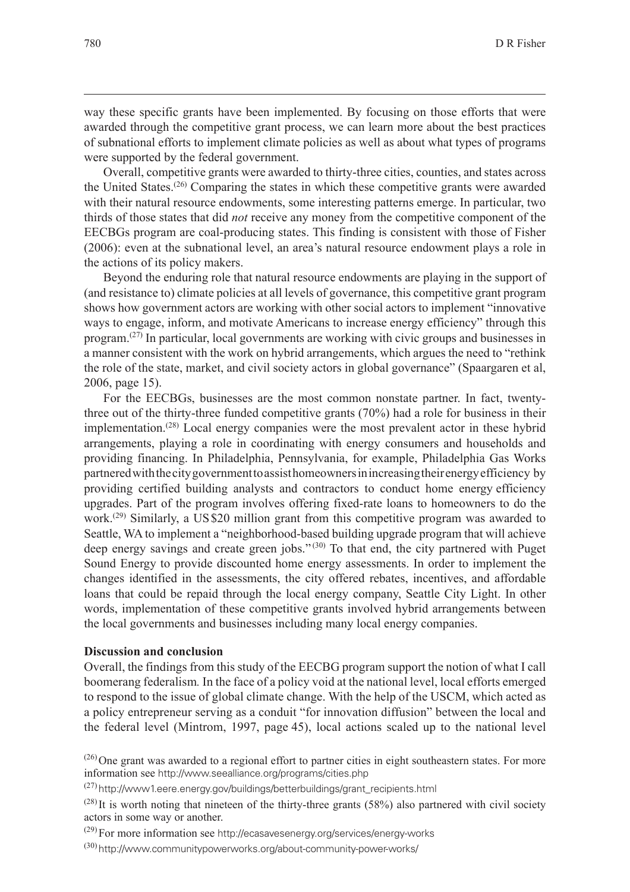way these specific grants have been implemented. By focusing on those efforts that were awarded through the competitive grant process, we can learn more about the best practices of subnational efforts to implement climate policies as well as about what types of programs were supported by the federal government.

Overall, competitive grants were awarded to thirty-three cities, counties, and states across the United States.(26) Comparing the states in which these competitive grants were awarded with their natural resource endowments, some interesting patterns emerge. In particular, two thirds of those states that did *not* receive any money from the competitive component of the EECBGs program are coal-producing states. This finding is consistent with those of Fisher (2006): even at the subnational level, an area's natural resource endowment plays a role in the actions of its policy makers.

Beyond the enduring role that natural resource endowments are playing in the support of (and resistance to) climate policies at all levels of governance, this competitive grant program shows how government actors are working with other social actors to implement "innovative ways to engage, inform, and motivate Americans to increase energy efficiency" through this program.<sup> $(27)$ </sup> In particular, local governments are working with civic groups and businesses in a manner consistent with the work on hybrid arrangements, which argues the need to "rethink the role of the state, market, and civil society actors in global governance" (Spaargaren et al, 2006, page 15).

For the EECBGs, businesses are the most common nonstate partner. In fact, twentythree out of the thirty-three funded competitive grants (70%) had a role for business in their implementation.(28) Local energy companies were the most prevalent actor in these hybrid arrangements, playing a role in coordinating with energy consumers and households and providing financing. In Philadelphia, Pennsylvania, for example, Philadelphia Gas Works partnered with the city government to assist homeowners in increasing their energy efficiency by providing certified building analysts and contractors to conduct home energy efficiency upgrades. Part of the program involves offering fixed-rate loans to homeowners to do the work.<sup>(29)</sup> Similarly, a US\$20 million grant from this competitive program was awarded to Seattle, WA to implement a "neighborhood-based building upgrade program that will achieve deep energy savings and create green jobs."<sup>(30)</sup> To that end, the city partnered with Puget Sound Energy to provide discounted home energy assessments. In order to implement the changes identified in the assessments, the city offered rebates, incentives, and affordable loans that could be repaid through the local energy company, Seattle City Light. In other words, implementation of these competitive grants involved hybrid arrangements between the local governments and businesses including many local energy companies.

#### **Discussion and conclusion**

Overall, the findings from this study of the EECBG program support the notion of what I call boomerang federalism*.* In the face of a policy void at the national level, local efforts emerged to respond to the issue of global climate change. With the help of the USCM, which acted as a policy entrepreneur serving as a conduit "for innovation diffusion" between the local and the federal level (Mintrom, 1997, page 45), local actions scaled up to the national level

 $(29)$  For more information see http://ecasavesenergy.org/services/energy-works

 $(30)$ http://www.communitypowerworks.org/about-community-power-works/

<sup>&</sup>lt;sup>(26)</sup>One grant was awarded to a regional effort to partner cities in eight southeastern states. For more information see http://www.seealliance.org/programs/cities.php

 $(27)$  http://www1.eere.energy.gov/buildings/betterbuildings/grant\_recipients.html

 $^{(28)}$  It is worth noting that nineteen of the thirty-three grants (58%) also partnered with civil society actors in some way or another.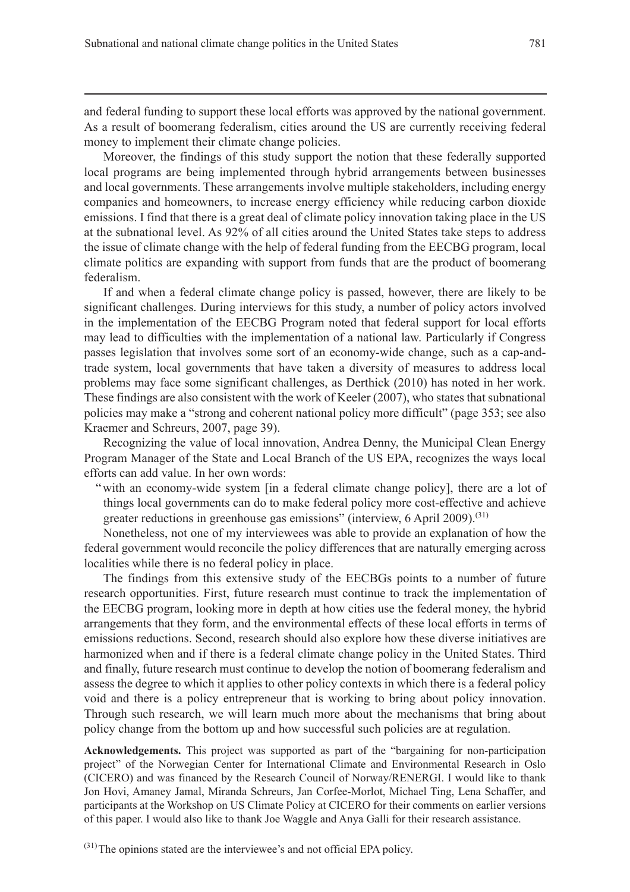and federal funding to support these local efforts was approved by the national government. As a result of boomerang federalism, cities around the US are currently receiving federal money to implement their climate change policies.

Moreover, the findings of this study support the notion that these federally supported local programs are being implemented through hybrid arrangements between businesses and local governments. These arrangements involve multiple stakeholders, including energy companies and homeowners, to increase energy efficiency while reducing carbon dioxide emissions. I find that there is a great deal of climate policy innovation taking place in the US at the subnational level. As 92% of all cities around the United States take steps to address the issue of climate change with the help of federal funding from the EECBG program, local climate politics are expanding with support from funds that are the product of boomerang federalism.

If and when a federal climate change policy is passed, however, there are likely to be significant challenges. During interviews for this study, a number of policy actors involved in the implementation of the EECBG Program noted that federal support for local efforts may lead to difficulties with the implementation of a national law. Particularly if Congress passes legislation that involves some sort of an economy-wide change, such as a cap-andtrade system, local governments that have taken a diversity of measures to address local problems may face some significant challenges, as Derthick (2010) has noted in her work. These findings are also consistent with the work of Keeler (2007), who states that subnational policies may make a "strong and coherent national policy more difficult" (page 353; see also Kraemer and Schreurs, 2007, page 39).

Recognizing the value of local innovation, Andrea Denny, the Municipal Clean Energy Program Manager of the State and Local Branch of the US EPA, recognizes the ways local efforts can add value. In her own words:

"with an economy-wide system [in a federal climate change policy], there are a lot of things local governments can do to make federal policy more cost-effective and achieve greater reductions in greenhouse gas emissions" (interview, 6 April 2009).<sup>(31)</sup>

Nonetheless, not one of my interviewees was able to provide an explanation of how the federal government would reconcile the policy differences that are naturally emerging across localities while there is no federal policy in place.

The findings from this extensive study of the EECBGs points to a number of future research opportunities. First, future research must continue to track the implementation of the EECBG program, looking more in depth at how cities use the federal money, the hybrid arrangements that they form, and the environmental effects of these local efforts in terms of emissions reductions. Second, research should also explore how these diverse initiatives are harmonized when and if there is a federal climate change policy in the United States. Third and finally, future research must continue to develop the notion of boomerang federalism and assess the degree to which it applies to other policy contexts in which there is a federal policy void and there is a policy entrepreneur that is working to bring about policy innovation. Through such research, we will learn much more about the mechanisms that bring about policy change from the bottom up and how successful such policies are at regulation.

**Acknowledgements.** This project was supported as part of the "bargaining for non-participation project" of the Norwegian Center for International Climate and Environmental Research in Oslo (CICERO) and was financed by the Research Council of Norway/RENERGI. I would like to thank Jon Hovi, Amaney Jamal, Miranda Schreurs, Jan Corfee-Morlot, Michael Ting, Lena Schaffer, and participants at the Workshop on US Climate Policy at CICERO for their comments on earlier versions of this paper. I would also like to thank Joe Waggle and Anya Galli for their research assistance.

 $(31)$ The opinions stated are the interviewee's and not official EPA policy.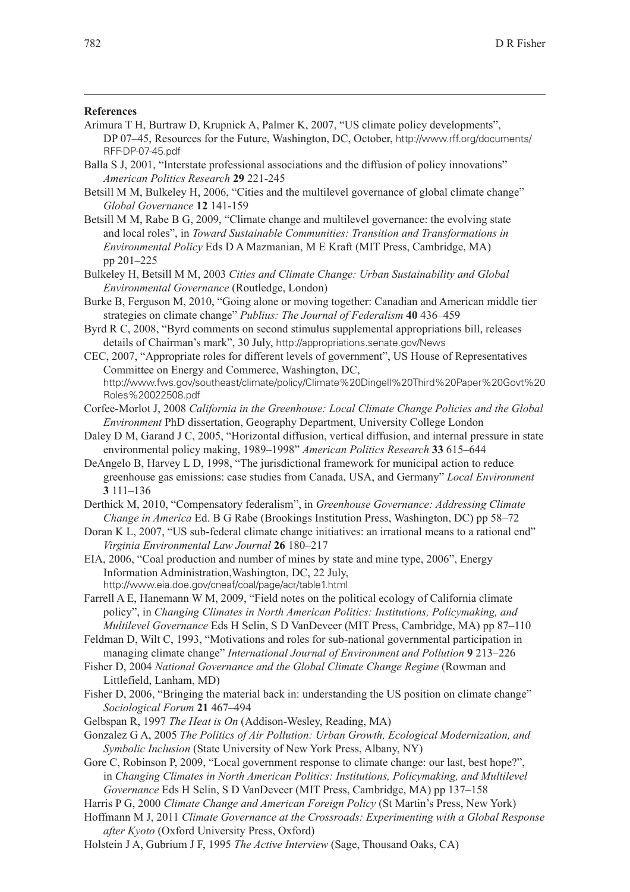#### **References**

- Arimura T H, Burtraw D, Krupnick A, Palmer K, 2007, "US climate policy developments", DP 07–45, Resources for the Future, Washington, DC, October, http://www.rff.org/documents/ RFF-DP-07-45.pdf
- Balla S J, 2001, "Interstate professional associations and the diffusion of policy innovations" *American Politics Research* **29** 221-245
- Betsill M M, Bulkeley H, 2006, "Cities and the multilevel governance of global climate change" *Global Governance* **12** 141-159
- Betsill M M, Rabe B G, 2009, "Climate change and multilevel governance: the evolving state and local roles", in *Toward Sustainable Communities: Transition and Transformations in Environmental Policy* Eds D A Mazmanian, M E Kraft (MIT Press, Cambridge, MA) pp 201–225
- Bulkeley H, Betsill M M, 2003 *Cities and Climate Change: Urban Sustainability and Global Environmental Governance* (Routledge, London)
- Burke B, Ferguson M, 2010, "Going alone or moving together: Canadian and American middle tier strategies on climate change" *Publius: The Journal of Federalism* **40** 436–459
- Byrd R C, 2008, "Byrd comments on second stimulus supplemental appropriations bill, releases details of Chairman's mark", 30 July, http://appropriations.senate.gov/News
- CEC, 2007, "Appropriate roles for different levels of government", US House of Representatives Committee on Energy and Commerce, Washington, DC, http://www.fws.gov/southeast/climate/policy/Climate%20Dingell%20Third%20Paper%20Govt%20 Roles%20022508.pdf
- Corfee-Morlot J, 2008 *California in the Greenhouse: Local Climate Change Policies and the Global Environment* PhD dissertation, Geography Department, University College London
- Daley D M, Garand J C, 2005, "Horizontal diffusion, vertical diffusion, and internal pressure in state environmental policy making, 1989–1998" *American Politics Research* **33** 615–644
- DeAngelo B, Harvey L D, 1998, "The jurisdictional framework for municipal action to reduce greenhouse gas emissions: case studies from Canada, USA, and Germany" *Local Environment* **3** 111–136
- Derthick M, 2010, "Compensatory federalism", in *Greenhouse Governance: Addressing Climate Change in America* Ed. B G Rabe (Brookings Institution Press, Washington, DC) pp 58–72
- Doran K L, 2007, "US sub-federal climate change initiatives: an irrational means to a rational end" *Virginia Environmental Law Journal* **26** 180–217
- EIA, 2006, "Coal production and number of mines by state and mine type, 2006", Energy Information Administration,Washington, DC, 22 July, http://www.eia.doe.gov/cneaf/coal/page/acr/table1.html
- Farrell A E, Hanemann W M, 2009, "Field notes on the political ecology of California climate policy", in *Changing Climates in North American Politics: Institutions, Policymaking, and Multilevel Governance* Eds H Selin, S D VanDeveer (MIT Press, Cambridge, MA) pp 87–110
- Feldman D, Wilt C, 1993, "Motivations and roles for sub-national governmental participation in managing climate change" *International Journal of Environment and Pollution* **9** 213–226
- Fisher D, 2004 *National Governance and the Global Climate Change Regime* (Rowman and Littlefield, Lanham, MD)
- Fisher D, 2006, "Bringing the material back in: understanding the US position on climate change" *Sociological Forum* **21** 467–494
- Gelbspan R, 1997 *The Heat is On* (Addison-Wesley, Reading, MA)
- Gonzalez G A, 2005 *The Politics of Air Pollution: Urban Growth, Ecological Modernization, and Symbolic Inclusion* (State University of New York Press, Albany, NY)
- Gore C, Robinson P, 2009, "Local government response to climate change: our last, best hope?", in *Changing Climates in North American Politics: Institutions, Policymaking, and Multilevel Governance* Eds H Selin, S D VanDeveer (MIT Press, Cambridge, MA) pp 137–158
- Harris P G, 2000 *Climate Change and American Foreign Policy* (St Martin's Press, New York)
- Hoffmann M J, 2011 *Climate Governance at the Crossroads: Experimenting with a Global Response after Kyoto* (Oxford University Press, Oxford)
- Holstein J A, Gubrium J F, 1995 *The Active Interview* (Sage, Thousand Oaks, CA)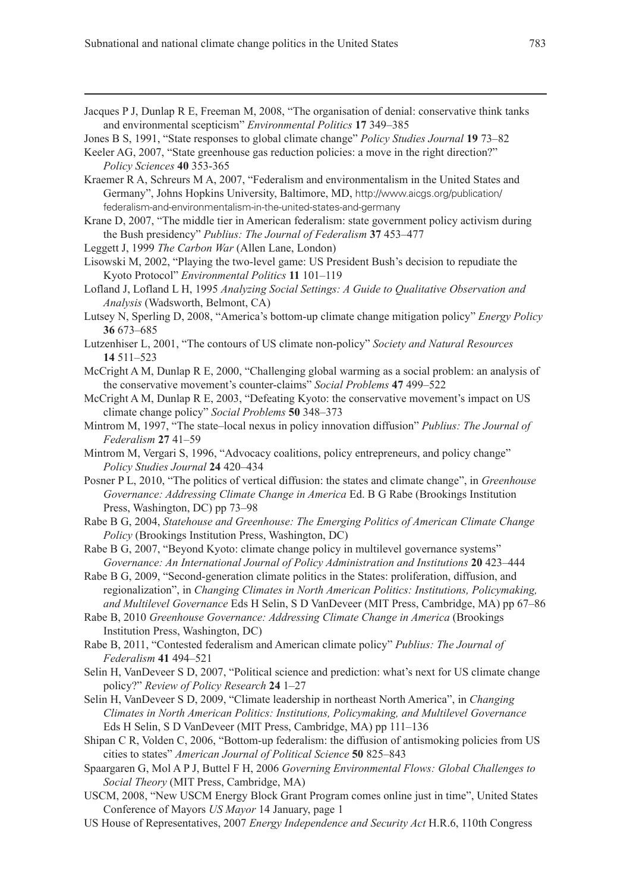Jacques P J, Dunlap R E, Freeman M, 2008, "The organisation of denial: conservative think tanks and environmental scepticism" *Environmental Politics* **17** 349–385

Jones B S, 1991, "State responses to global climate change" *Policy Studies Journal* **19** 73–82

- Keeler AG, 2007, "State greenhouse gas reduction policies: a move in the right direction?" *Policy Sciences* **40** 353-365
- Kraemer R A, Schreurs M A, 2007, "Federalism and environmentalism in the United States and Germany", Johns Hopkins University, Baltimore, MD, http://www.aicgs.org/publication/ federalism-and-environmentalism-in-the-united-states-and-germany

Krane D, 2007, "The middle tier in American federalism: state government policy activism during the Bush presidency" *Publius: The Journal of Federalism* **37** 453–477

- Leggett J, 1999 *The Carbon War* (Allen Lane, London)
- Lisowski M, 2002, "Playing the two-level game: US President Bush's decision to repudiate the Kyoto Protocol" *Environmental Politics* **11** 101–119
- Lofland J, Lofland L H, 1995 *Analyzing Social Settings: A Guide to Qualitative Observation and Analysis* (Wadsworth, Belmont, CA)
- Lutsey N, Sperling D, 2008, "America's bottom-up climate change mitigation policy" *Energy Policy* **36** 673–685
- Lutzenhiser L, 2001, "The contours of US climate non-policy" *Society and Natural Resources* **14** 511–523
- McCright A M, Dunlap R E, 2000, "Challenging global warming as a social problem: an analysis of the conservative movement's counter-claims" *Social Problems* **47** 499–522
- McCright A M, Dunlap R E, 2003, "Defeating Kyoto: the conservative movement's impact on US climate change policy" *Social Problems* **50** 348–373
- Mintrom M, 1997, "The state–local nexus in policy innovation diffusion" *Publius: The Journal of Federalism* **27** 41–59
- Mintrom M, Vergari S, 1996, "Advocacy coalitions, policy entrepreneurs, and policy change" *Policy Studies Journal* **24** 420–434
- Posner P L, 2010, "The politics of vertical diffusion: the states and climate change", in *Greenhouse Governance: Addressing Climate Change in America* Ed. B G Rabe (Brookings Institution Press, Washington, DC) pp 73–98
- Rabe B G, 2004, *Statehouse and Greenhouse: The Emerging Politics of American Climate Change Policy* (Brookings Institution Press, Washington, DC)
- Rabe B G, 2007, "Beyond Kyoto: climate change policy in multilevel governance systems" *Governance: An International Journal of Policy Administration and Institutions* **20** 423–444
- Rabe B G, 2009, "Second-generation climate politics in the States: proliferation, diffusion, and regionalization", in *Changing Climates in North American Politics: Institutions, Policymaking, and Multilevel Governance* Eds H Selin, S D VanDeveer (MIT Press, Cambridge, MA) pp 67–86
- Rabe B, 2010 *Greenhouse Governance: Addressing Climate Change in America* (Brookings Institution Press, Washington, DC)
- Rabe B, 2011, "Contested federalism and American climate policy" *Publius: The Journal of Federalism* **41** 494–521
- Selin H, VanDeveer S D, 2007, "Political science and prediction: what's next for US climate change policy?" *Review of Policy Research* **24** 1–27
- Selin H, VanDeveer S D, 2009, "Climate leadership in northeast North America", in *Changing Climates in North American Politics: Institutions, Policymaking, and Multilevel Governance*  Eds H Selin, S D VanDeveer (MIT Press, Cambridge, MA) pp 111–136
- Shipan C R, Volden C, 2006, "Bottom-up federalism: the diffusion of antismoking policies from US cities to states" *American Journal of Political Science* **50** 825–843
- Spaargaren G, Mol A P J, Buttel F H, 2006 *Governing Environmental Flows: Global Challenges to Social Theory* (MIT Press, Cambridge, MA)
- USCM, 2008, "New USCM Energy Block Grant Program comes online just in time", United States Conference of Mayors *US Mayor* 14 January, page 1
- US House of Representatives, 2007 *Energy Independence and Security Act* H.R.6, 110th Congress